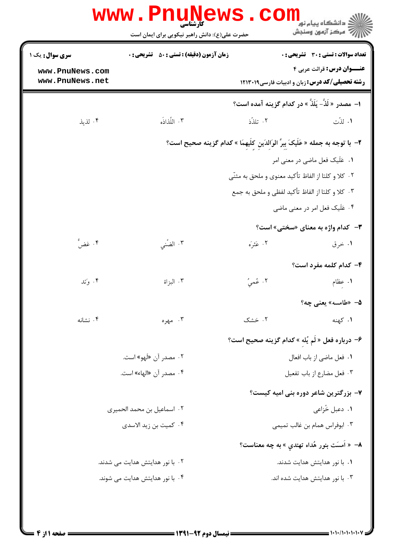|                                                      | <b>WWW . PNI</b><br>unews<br><b>کارشناسی</b><br>حضرت علی(ع): دانش راهبر نیکویی برای ایمان است | com                                                                                                                                                                                       | د دانشگاه پيام نور<br>ج ' مرڪز آزمون وسنڊش                                                                    |
|------------------------------------------------------|-----------------------------------------------------------------------------------------------|-------------------------------------------------------------------------------------------------------------------------------------------------------------------------------------------|---------------------------------------------------------------------------------------------------------------|
| سری سوال: یک ۱<br>www.PnuNews.com<br>www.PnuNews.net | <b>زمان آزمون (دقیقه) : تستی : 50 ٪ تشریحی : 0</b>                                            | رشته تحصیلی/کد درس: زبان و ادبیات فارسی١٢١٣٠١٩                                                                                                                                            | تعداد سوالات : تستى : 30 - تشريحي : 0<br><b>عنـــوان درس:</b> قرائت عربي ۴                                    |
|                                                      |                                                                                               | ا- مصدر « لَذَّ- يَلَذُّ » در كدام گزينه آمده است؟                                                                                                                                        |                                                                                                               |
| ۰۴ لذيذ                                              | ٢. اللَّذَاذُه                                                                                | ۰۲ تلذّذ                                                                                                                                                                                  | ۰۱ لذّت                                                                                                       |
|                                                      |                                                                                               | ٢–  با توجه به جمله « عَلَيكَ بِبرِّ الوَالدَين كلِّيهمَا » كدام گزينه صحيح است؟<br>۰۲ كلا و كلتا از الفاظ تأكيد معنوى و ملحق به مثنّى<br>۰۳ کلا و کلتا از الفاظ تأکید لفظی و ملحق به جمع | ٠١ عَلَيك فعل ماضي در معنى امر<br>۰۴ عَلَیک فعل امر در معنی ماضی<br><b>۳</b> - کدام واژه به معنای «سختی» است؟ |
| ۰۴ غضٌ                                               | ۰۳ الضَّني                                                                                    | ۰۲ عَثرَه                                                                                                                                                                                 | ۰۱ خرق<br>۴- کدام کلمه مفرد است؟                                                                              |
| ۰۴ وَتد                                              | ۰۳ البزاة                                                                                     | ۰۲ عُميُ                                                                                                                                                                                  | ۰۱ عظام<br>۵– «طامسه» یعنی چه؟                                                                                |
| ۰۴ نشانه                                             | ۰۳ مهره                                                                                       | ۰۲ خشک<br>۶– درباره فعل « لَم يُلهِ » كدام گزينه صحيح است؟                                                                                                                                | ۰۱ کهنه                                                                                                       |
|                                                      | ۰۲ مصدر آن «لَهو» است.<br>۰۴ مصدر آن «الهاء» است.                                             |                                                                                                                                                                                           | ٠١ فعل ماضي از باب افعال<br>۰۳ فعل مضارع از باب تفعیل                                                         |
|                                                      | ٠٢ اسماعيل بن محمد الحميري<br>۰۴ کمیت بن زید الاسدی                                           | ۷- بزرگترین شاعر دوره بنی امیه کیست؟<br><b>۸</b> – « اَمسَت بنور هُداه تهتدي » به چه معناست؟                                                                                              | ۰۱ دعبل خُزاعی<br>۰۳ ابوفراس همام بن غالب تميمي                                                               |
|                                                      | ۰۲ با نور هدایتش هدایت می شدند.                                                               |                                                                                                                                                                                           | ۰۱ با نور هدایتش هدایت شدند.                                                                                  |
|                                                      | ۰۴ با نور هدایتش هدایت می شوند.                                                               |                                                                                                                                                                                           | ۰۳ با نور هدایتش هدایت شده اند.                                                                               |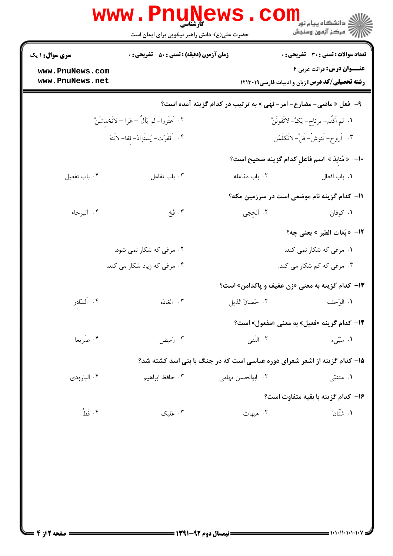|                                    | www.PnuNews<br>حضرت علی(ع): دانش راهبر نیکویی برای ایمان است |                            | ر دانشگاه پيام نور <mark>− −</mark><br>ار <i>داخشگاه پي</i> ام نور                 |
|------------------------------------|--------------------------------------------------------------|----------------------------|------------------------------------------------------------------------------------|
| <b>سری سوال : ۱ یک</b>             | <b>زمان آزمون (دقیقه) : تستی : 80 ٪ تشریحی : 0</b>           |                            | <b>تعداد سوالات : تستی : 30 ٪ تشریحی : 0</b>                                       |
| www.PnuNews.com<br>www.PnuNews.net |                                                              |                            | عنــوان درس: قرائت عربی ۴<br><b>رشته تحصیلی/کد درس:</b> زبان و ادبیات فارسی1۲۱۳۰۱۹ |
|                                    |                                                              |                            | ۹- فعل « ماضی- مضارع- امر- نهی » به ترتیب در کدام گزینه آمده است؟                  |
|                                    | ٢. اَعتَزوا–لم يَألُ –عَرا –لاتَخدشَنَّ                      |                            | ١. لم اَكتُم- يرتاح- يَكُ- لاتَقولَنَّ                                             |
|                                    | ۴. اَقفَرَت- يُستَزادُ- قفا- لاتَنهَ                         |                            | ٣. أروح-تَنوشُ-فَلَّ-لاتَكلُمَن                                                    |
|                                    |                                                              |                            | +ا–   « مُنابذ »  اسم فاعلِ كدام گزينه صحيح است؟                                   |
| ۰۴ باب تفعيل                       | ۰۳ باب تفاعل                                                 | ۰۲ باب مفاعله              | ٠١. باب افعال                                                                      |
|                                    |                                                              |                            | 11- كدام گزينه نام موضعي است در سرزمين مكه؟                                        |
| ۰۴ ألبَرحاء                        | ۰۳ فَخ                                                       | ۰۲ ألحجي                   | ۰۱ کوفان                                                                           |
|                                    |                                                              |                            | 1۲– «بُغاث الطير » يعني چه؟                                                        |
|                                    | ۰۲ مرغی که شکار نمی شود.                                     |                            | ۰۱ مرغی که شکار نمی کند.                                                           |
| ۰۴ مرغی که زیاد شکار می کند.       |                                                              | ۰۳ مرغی که کم شکار می کند. |                                                                                    |
|                                    |                                                              |                            | ۱۳- کدام گزینه به معنی «زن عفیف و پاکدامن» است؟                                    |
| ۰۴ اَلسّادر                        | ۰۳ الغادَه                                                   |                            |                                                                                    |
|                                    |                                                              |                            | ۱۴- کدام گزینه «فعیل» به معنی «مفعول» است؟                                         |
| ۰۴ صَریعا                          | ۰۳ رَميض                                                     | ۰۲ النّقبی                 | ۰۱ سَیّیء                                                                          |
|                                    |                                                              |                            | ۱۵- کدام گزینه از اشعر شعرای دوره عباسی است که در جنگ با بنی اسد کشته شد؟          |
| ۰۴ البارودي                        | ۰۳ حافظ ابراهیم                                              | ٠٢ ابوالحسن تهامي          | ۰۱ متنبّی                                                                          |
|                                    |                                                              |                            | ۱۶– کدام گزینه با بقیه متفاوت است؟                                                 |
| ۴. قَطُّ                           | ۰۳ عَلَیک                                                    | ٢. هيهات                   | ٠١ شَتَّانَ                                                                        |
|                                    |                                                              |                            |                                                                                    |
|                                    |                                                              |                            |                                                                                    |
|                                    |                                                              |                            |                                                                                    |
|                                    |                                                              |                            |                                                                                    |
|                                    |                                                              |                            |                                                                                    |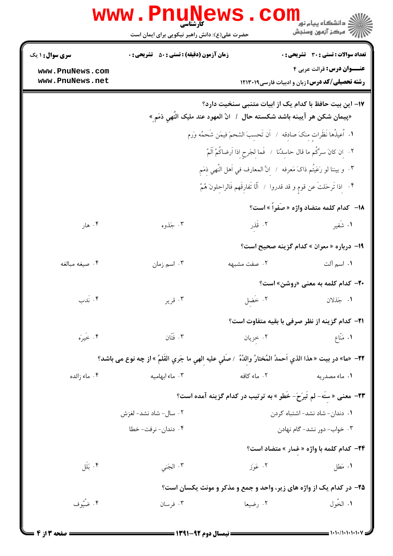|                                                                          | <b>www.PnuNews</b>                                                                                        |              | الاد دانشگاه پيام نور<br>الا دانشگاه پيام نور<br>الا                                                                                |  |  |
|--------------------------------------------------------------------------|-----------------------------------------------------------------------------------------------------------|--------------|-------------------------------------------------------------------------------------------------------------------------------------|--|--|
|                                                                          | حضرت علی(ع): دانش راهبر نیکویی برای ایمان است                                                             |              |                                                                                                                                     |  |  |
| سری سوال: ۱ یک                                                           | <b>زمان آزمون (دقیقه) : تستی : 50 ٪ تشریحی : 0</b>                                                        |              | <b>تعداد سوالات : تستي : 30 ٪ تشريحي : 0</b>                                                                                        |  |  |
| www.PnuNews.com<br>www.PnuNews.net                                       |                                                                                                           |              | <b>عنـــوان درس:</b> قرائت عربي ۴<br><b>رشته تحصیلی/کد درس:</b> زبان و ادبیات فارسی ۱۲۱۳۰۱۹                                         |  |  |
|                                                                          |                                                                                                           |              | ۱۷– این بیت حافظ با کدام یک از ابیات متنبی سنخیت دارد؟<br>«پيمان شكن هر آيينه باشد شكسته حال  /  انّ العهود عند مليک النُهي ذمَمٍ » |  |  |
|                                                                          |                                                                                                           |              | ١. أعيذُها نَظَراتٍ مِنكَ صادِقه / أن تَحسِبَ الشحمَ فيمَن شَحمُه وَرم                                                              |  |  |
|                                                                          |                                                                                                           |              | ٢.    إن كانَ سرَّكُم ما قال حاسِدُنا   /   فَما لِجَرحِ إذا اَرضاكُمُ آلَمُ                                                        |  |  |
|                                                                          | ٣. و بيننا لو رَعَيتُم ذاکَ مَعرفه / إِنَّ المعارف في اَهل النَّهي ذِمَمٍ                                 |              |                                                                                                                                     |  |  |
| ۴. [إذا تَرحَلتَ عن قومٍ و قد قدروا / أَلَا تَفارِقَهم فَالراحِلونَ هُمُ |                                                                                                           |              |                                                                                                                                     |  |  |
|                                                                          |                                                                                                           |              | 18- كدام كلمه متضاد واژه «صَفَواً » است؟                                                                                            |  |  |
| ۰۴ هار                                                                   | ۰۳ جَذوه                                                                                                  | ۰۲ قَدِر     | ۰۱ شَفير                                                                                                                            |  |  |
|                                                                          |                                                                                                           |              | 1۹- درباره « معوان » کدام گزینه صحیح است؟                                                                                           |  |  |
| ۰۴ صيغه مبالغه                                                           | ۰۳ اسم زمان                                                                                               | ۰۲ صفت مشبهه | <b>۱.</b> اسم آلت                                                                                                                   |  |  |
|                                                                          |                                                                                                           |              | <b>۲۰</b> کدام کلمه به معنی «روشن» است؟                                                                                             |  |  |
| ۰۴ نَدب                                                                  | ۰۳ قریر                                                                                                   | ٢. خَضل      | ١. جَذلان                                                                                                                           |  |  |
|                                                                          |                                                                                                           |              | <b>٢١</b> - كدام گزينه از نظر صرفي با بقيه متفاوت است؟                                                                              |  |  |
| ۰۴ خَيرَه                                                                | ۰۳ فَتَان                                                                                                 | ۰۲ خزیان     | ۰۱ مَنّاع                                                                                                                           |  |  |
|                                                                          | 7۲– «ما» در بيت « هذا الذي آحمدُ المُختارُ والدُهُ  / صلِّي عليه الهي ما جَري القلمُ » از چه نوع مى باشد؟ |              |                                                                                                                                     |  |  |
| ۰۴ ماء زائده                                                             | ۰۳ ماء ابهامیه                                                                                            | ۰۲ ماء کافه  | ۰۱ ماء مصدریه                                                                                                                       |  |  |
|                                                                          | <b>۲۳</b> - معنی « سنّه- لم تُبرَحَ- خُطو » به ترتیب در کدام گزینه آمده است؟                              |              |                                                                                                                                     |  |  |
| ۰۲ سال- شاد نشد- لغزش                                                    |                                                                                                           |              | ٠١ دندان- شاد نشد- اشتباه كردن                                                                                                      |  |  |
|                                                                          | ۰۴ دندان- نرفت- خطا                                                                                       |              | ۰۳ خواب- دور نشد- گام نهادن                                                                                                         |  |  |
|                                                                          |                                                                                                           |              | <b>۳۴</b> - کدام کلمه با واژه « غمار » متضاد است؟                                                                                   |  |  |
| ۰۴ بَلَل                                                                 | ۰۳ الجَني                                                                                                 | ۰۲ عَوَز     | ۰۱ مَطل                                                                                                                             |  |  |
|                                                                          |                                                                                                           |              | ۲۵- در کدام یک از واژه های زیر، واحد و جمع و مذکر و مونث یکسان است؟                                                                 |  |  |
| ۰۴ ضُيُوف                                                                | ۰۳ فرسان                                                                                                  | ۰۲ رضیعا     | ١. الخَول                                                                                                                           |  |  |
|                                                                          |                                                                                                           |              |                                                                                                                                     |  |  |